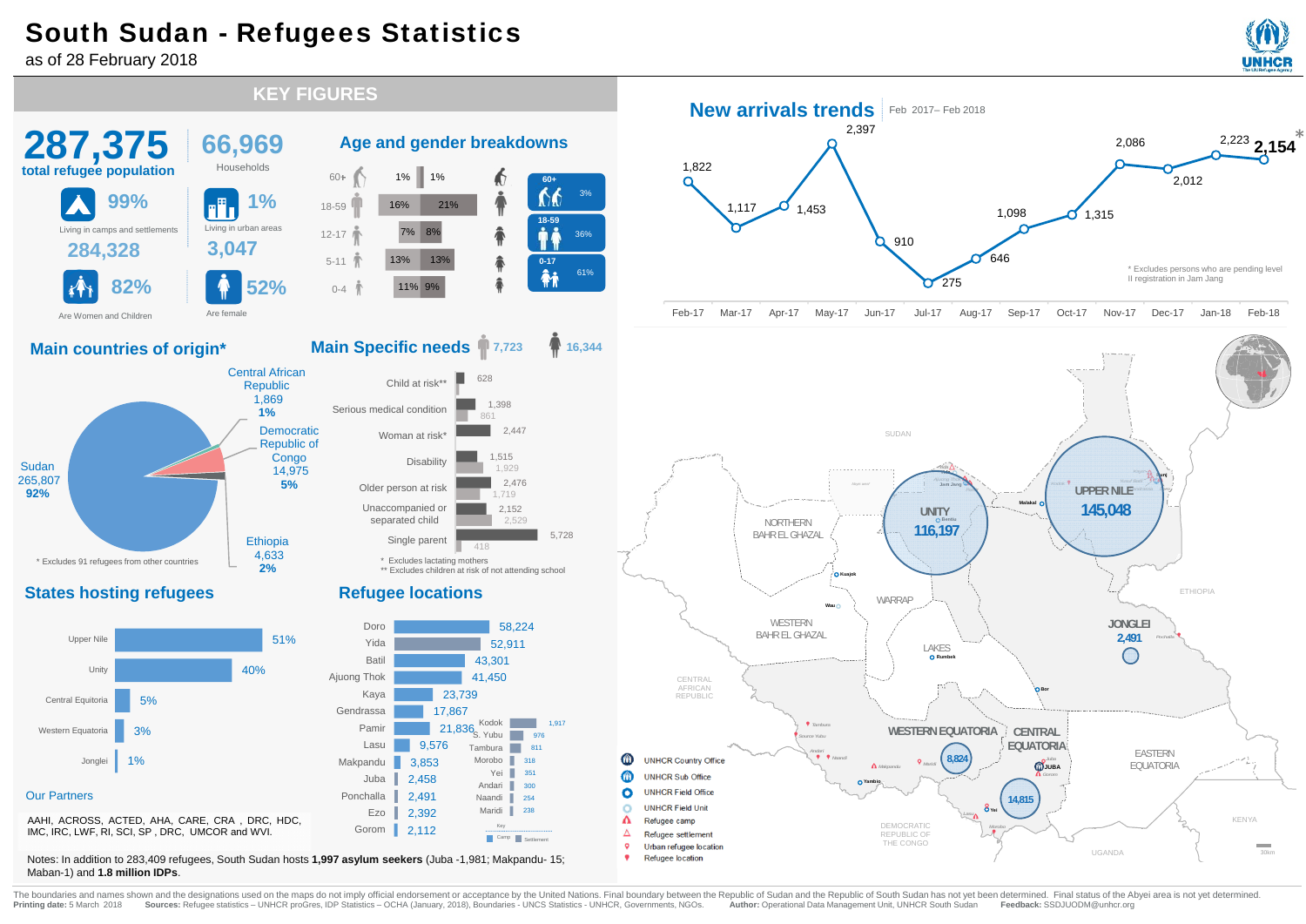## South Sudan - Refugees Statistics

as of 28 February 2018





Printing date: 5 March 2018 Sources: Refugee statistics - UNHCR proGres, IDP Statistics - OCHA (January, 2018), Boundaries - UNCR Statistics - UNHCR, Governments, NGOs. Author: Operational Data Management Unit, UNHCR South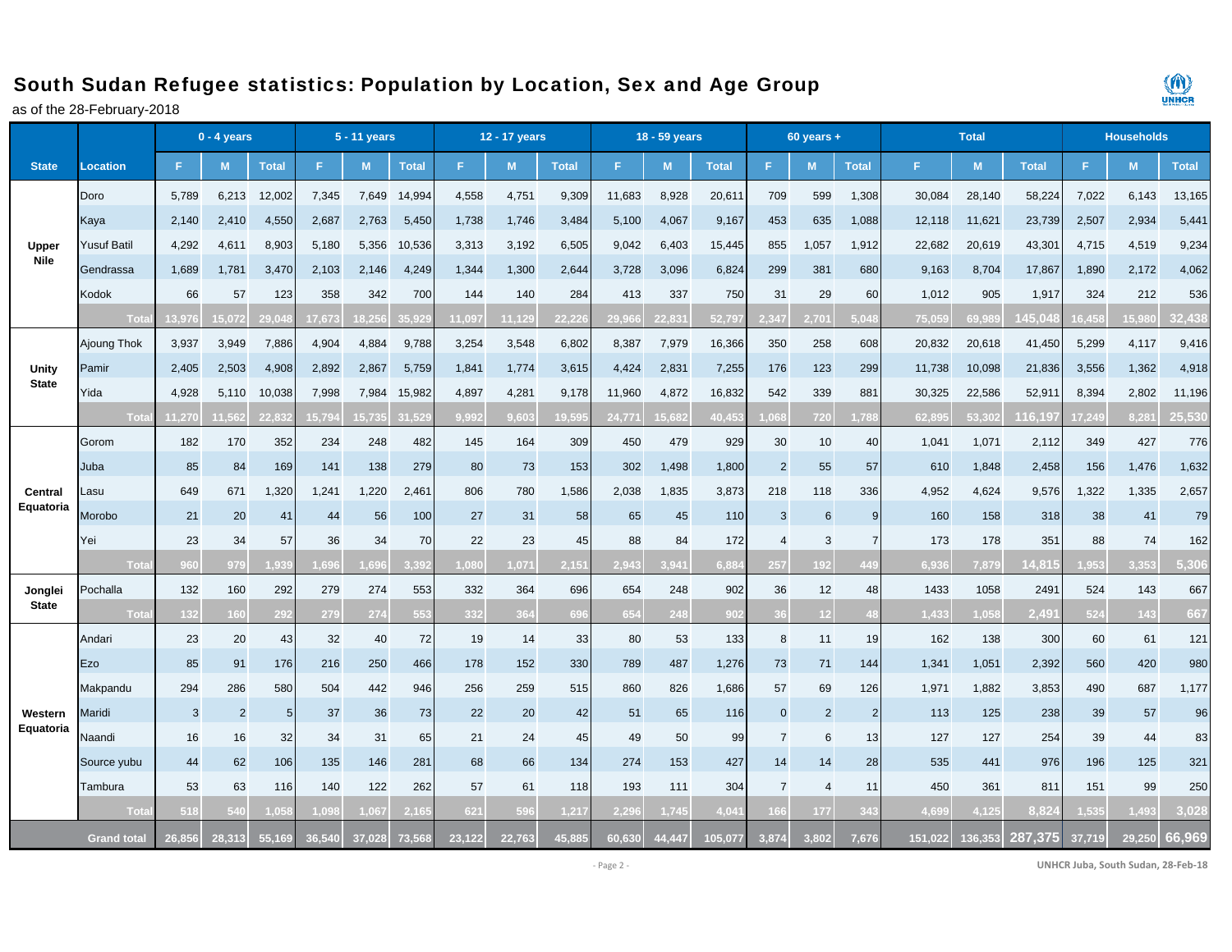## South Sudan Refugee statistics: Population by Location, Sex and Age Group

as of the 28-February-2018



|                      | $0 - 4$ years      |        |                |                 |        | 5 - 11 years |              | 12 - 17 years |        |              |        | 18 - 59 years |              |                | $60$ years +   |                |         | <b>Households</b> |                   |        |        |              |
|----------------------|--------------------|--------|----------------|-----------------|--------|--------------|--------------|---------------|--------|--------------|--------|---------------|--------------|----------------|----------------|----------------|---------|-------------------|-------------------|--------|--------|--------------|
| <b>State</b>         | <b>Location</b>    | F      | M              | <b>Total</b>    | F      | M            | <b>Total</b> | F.            | M      | <b>Total</b> | F.     | M             | <b>Total</b> | F              | M              | <b>Total</b>   | F.      | M                 | <b>Total</b>      | F.     | M      | <b>Total</b> |
|                      | Doro               | 5,789  | 6,213          | 12,002          | 7,345  | 7,649        | 14,994       | 4,558         | 4,751  | 9,309        | 11,683 | 8,928         | 20,611       | 709            | 599            | 1,308          | 30,084  | 28,140            | 58,224            | 7,022  | 6,143  | 13,165       |
|                      | Kaya               | 2,140  | 2,410          | 4,550           | 2,687  | 2,763        | 5,450        | 1,738         | 1,746  | 3,484        | 5,100  | 4,067         | 9,167        | 453            | 635            | 1,088          | 12,118  | 11,621            | 23,739            | 2,507  | 2,934  | 5,441        |
| Upper                | <b>Yusuf Batil</b> | 4,292  | 4,611          | 8,903           | 5,180  | 5,356        | 10,536       | 3,313         | 3,192  | 6,505        | 9,042  | 6,403         | 15,445       | 855            | 1,057          | 1,912          | 22,682  | 20,619            | 43,301            | 4,715  | 4,519  | 9,234        |
| <b>Nile</b>          | Gendrassa          | 1,689  | 1,781          | 3,470           | 2,103  | 2,146        | 4,249        | 1,344         | 1,300  | 2,644        | 3,728  | 3,096         | 6,824        | 299            | 381            | 680            | 9,163   | 8,704             | 17,867            | 1,890  | 2,172  | 4,062        |
|                      | Kodok              | 66     | 57             | 123             | 358    | 342          | 700          | 144           | 140    | 284          | 413    | 337           | 750          | 31             | 29             | 60             | 1,012   | 905               | 1,917             | 324    | 212    | 536          |
|                      | Tota               | 13.976 | 5.072          | 29.0            | 17.673 | 8.256        | 35.92        | 1.097         | 11.129 | 22.22        | 29.966 | 22.831        | 52.797       | 2.347          | 2.701          | 5.04           | 75.05   | 69.989            | 45.04             | 6.458  | 15,980 | 32.438       |
|                      | Ajoung Thok        | 3,937  | 3,949          | 7,886           | 4,904  | 4,884        | 9,788        | 3,254         | 3,548  | 6,802        | 8,387  | 7,979         | 16,366       | 350            | 258            | 608            | 20,832  | 20,618            | 41,450            | 5,299  | 4,117  | 9,416        |
| Unity                | Pamir              | 2,405  | 2,503          | 4,908           | 2,892  | 2,867        | 5,759        | 1,841         | 1,774  | 3,615        | 4,424  | 2,831         | 7,255        | 176            | 123            | 299            | 11,738  | 10,098            | 21,836            | 3,556  | 1,362  | 4,918        |
| <b>State</b>         | rida               | 4,928  | 5,110          | 10,038          | 7,998  | 7,984        | 15,982       | 4,897         | 4,281  | 9,178        | 11,960 | 4,872         | 16,832       | 542            | 339            | 881            | 30,325  | 22,586            | 52,91             | 8,394  | 2,802  | 11,196       |
|                      | Tota               | 1.270  | 1.562          | 22.83           | 15.79  | 15,735       | 31.529       | 9.992         | 9,603  | 19.59        | 24,771 | 15.682        | 40.45        | .068           | 720            | 1,788          | 62.895  | 53.302            | 16,19             | 17.249 | 8.28   | 25,530       |
|                      | Gorom              | 182    | 170            | 352             | 234    | 248          | 482          | 145           | 164    | 309          | 450    | 479           | 929          | 30             | 10             | 40             | 1,041   | 1,071             | 2,112             | 349    | 427    | 776          |
| Central              | Juba               | 85     | 84             | 169             | 141    | 138          | 279          | 80            | 73     | 153          | 302    | 1,498         | 1,800        | $\overline{2}$ | 55             | 57             | 610     | 1,848             | 2,458             | 156    | 1,476  | 1,632        |
|                      | asu-               | 649    | 671            | 1,320           | 1,241  | 1,220        | 2,461        | 806           | 780    | 1,586        | 2,038  | 1,835         | 3,873        | 218            | 118            | 336            | 4,952   | 4,624             | 9,576             | 1,322  | 1,335  | 2,657        |
| Equatoria            | Morobo             | 21     | 20             | 41              | 44     | 56           | 100          | 27            | 31     | 58           | 65     | 45            | 110          | 3              | 6              | 9              | 160     | 158               | 318               | 38     | 41     | 79           |
|                      | Yei                | 23     | 34             | 57              | 36     | 34           | 70           | 22            | 23     | 45           | 88     | 84            | 172          | 4              | 3              |                | 173     | 178               | 351               | 88     | 74     | 162          |
|                      | Tota               | 960    | 979            | 1.93            | .69(   | .696         |              | .080          | .071   | 2.15         | 2.943  | 3.941         | 6.88         | 257            | 192            |                | 6.936   | 7.879             | 14.81             | .953   | 3.353  | 5,306        |
| Jonglei              | Pochalla           | 132    | 160            | 292             | 279    | 274          | 553          | 332           | 364    | 696          | 654    | 248           | 902          | 36             | 12             | 48             | 1433    | 1058              | 249'              | 524    | 143    | 667          |
| <b>State</b>         | Tota               | 132    | 160            | 292             | 279    | 274          | 55.          | 332           | 364    | 69           | 654    | 248           | 902          | 36             | 12             |                | 1,433   | .058              | 2.49 <sup>°</sup> | 524    | 143    | 667          |
|                      | Andari             | 23     | 20             | 43              | 32     | 40           | 72           | 19            | 14     | 33           | 80     | 53            | 133          | 8              | 11             | 19             | 162     | 138               | 300               | 60     | 61     | 121          |
|                      | Ezo                | 85     | 91             | 176             | 216    | 250          | 466          | 178           | 152    | 330          | 789    | 487           | 1,276        | 73             | 71             | 144            | 1,341   | 1,051             | 2,392             | 560    | 420    | 980          |
|                      | Makpandu           | 294    | 286            | 580             | 504    | 442          | 946          | 256           | 259    | 515          | 860    | 826           | 1,686        | 57             | 69             | 126            | 1,971   | 1,882             | 3,853             | 490    | 687    | 1,177        |
| Western<br>Equatoria | Maridi             | 3      | $\overline{2}$ | $5\overline{)}$ | 37     | 36           | 73           | 22            | 20     | 42           | 51     | 65            | 116          | $\pmb{0}$      | $\overline{2}$ | $\overline{2}$ | 113     | 125               | 238               | 39     | 57     | 96           |
|                      | Vaandi             | 16     | 16             | 32              | 34     | 31           | 65           | 21            | 24     | 45           | 49     | 50            | 99           | $\overline{7}$ | 6              | 13             | 127     | 127               | 254               | 39     | 44     | 83           |
|                      | Source yubu        | 44     | 62             | 106             | 135    | 146          | 281          | 68            | 66     | 134          | 274    | 153           | 427          | 14             | 14             | 28             | 535     | 441               | 976               | 196    | 125    | 321          |
|                      | Tambura            | 53     | 63             | 116             | 140    | 122          | 262          | 57            | 61     | 118          | 193    | 111           | 304          | $\overline{7}$ | $\overline{4}$ | 11             | 450     | 361               | 811               | 151    | 99     | 250          |
|                      | Tota               | 518    | 540            |                 | (15)   | .067         |              | 621           | 596    | 1,21         | 2.29   | 1.745         | 1.04         | 66             | 177            |                | 4.699   | 1.125             | 8.82              | , 535  | .493   | 3,028        |
|                      | <b>Grand total</b> | 26.856 | 28.313         | 55.169          | 36.540 | 37.028       | 73,568       | 23.122        | 22.763 | 45.88        | 60.630 | 44.447        | 105.077      | 3.874          | 3.802          | 7.676          | 151.022 | 136.353           | 287.375           | 37.719 | 29.250 | 66.969       |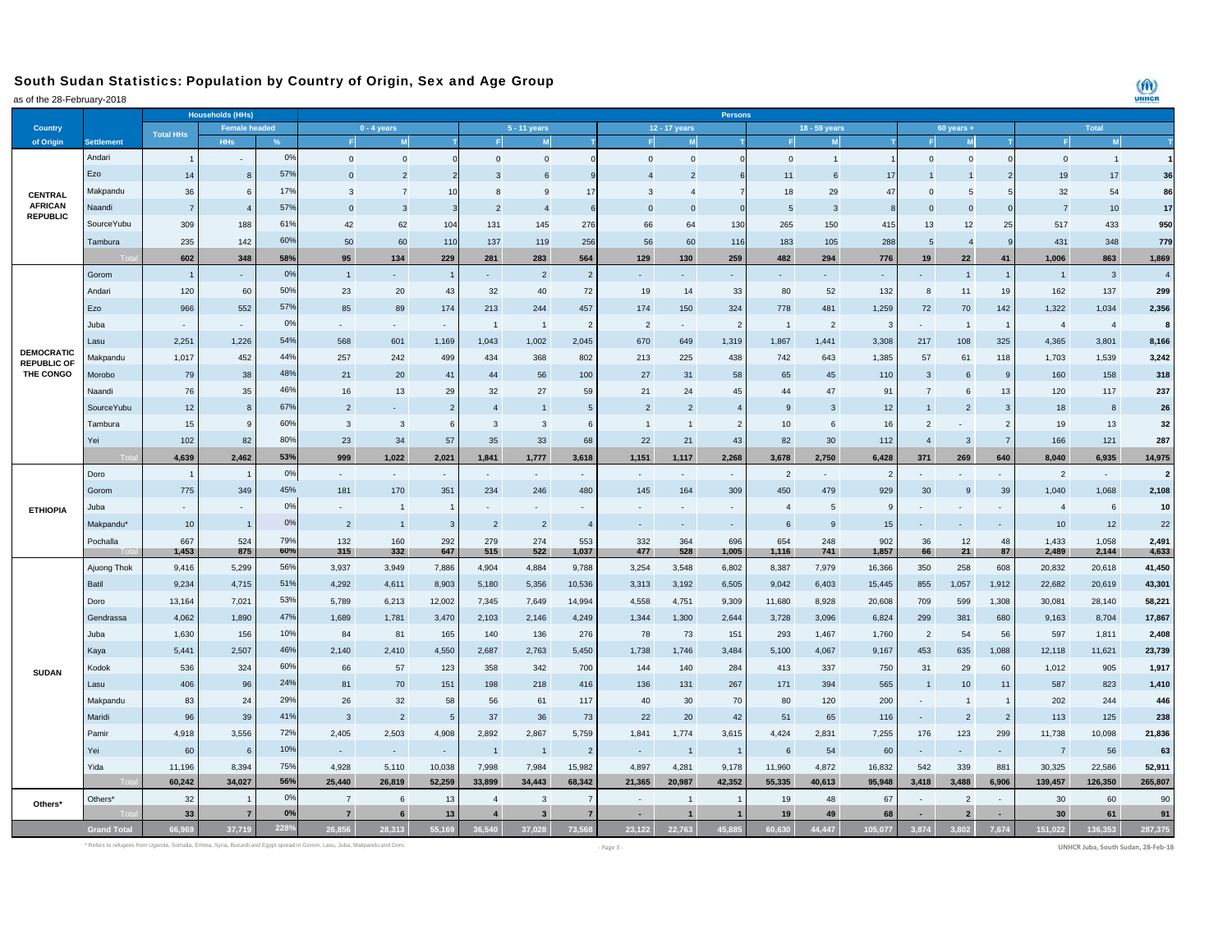## South Sudan Statistics: Population by Country of Origin, Sex and Age Group

as of the 28-February-2018

| $10.201$ condaty 2010           |                       |                  | <b>Households (HHs)</b> |      | Persons                  |                         |                          |                          |                          |                          |                          |                          |                |                |                |              |                         |                |                          |                |                |                |
|---------------------------------|-----------------------|------------------|-------------------------|------|--------------------------|-------------------------|--------------------------|--------------------------|--------------------------|--------------------------|--------------------------|--------------------------|----------------|----------------|----------------|--------------|-------------------------|----------------|--------------------------|----------------|----------------|----------------|
| <b>Country</b>                  |                       |                  | <b>Female headed</b>    |      | $0 - 4$ years            |                         |                          | 5 - 11 years             |                          |                          | 12 - 17 years            |                          |                |                |                | $60$ years + |                         | <b>Total</b>   |                          |                |                |                |
| of Origin                       | <b>Settlement</b>     | <b>Total HHs</b> | HHs                     |      | F                        |                         |                          |                          | M                        |                          |                          | M                        |                |                |                |              |                         | M              |                          |                |                |                |
|                                 | Andari                |                  | $\sim$                  | 0%   | $\mathbf{0}$             | $\Omega$                |                          | $\Omega$                 | $\Omega$                 |                          | $\Omega$                 | $\Omega$                 |                | $\Omega$       |                |              | $\mathbf{0}$            | $\Omega$       |                          | $\Omega$       | $\overline{1}$ |                |
|                                 | Ezo                   | 14               | 8                       | 57%  | $\overline{0}$           |                         |                          | 3                        | -6                       |                          |                          | $\overline{2}$           |                | 11             |                | 17           |                         |                |                          | 19             | 17             | 36             |
| <b>CENTRAL</b>                  | Makpandu              | 36               | 6                       | 17%  | 3                        |                         | 10                       | 8                        | -9                       | 17                       | 3                        | $\overline{4}$           |                | 18             | 29             | 47           | $\mathbf 0$             | -5             |                          | 32             | 54             | 86             |
| <b>AFRICAN</b>                  | Naandi                | $\overline{7}$   | $\overline{4}$          | 57%  | $\Omega$                 | -3                      |                          | $\overline{2}$           | $\overline{4}$           |                          | $\Omega$                 | $\mathbf{0}$             | $\epsilon$     | 5              | 3              | $\mathbf{8}$ | $\mathbf{0}$            | $\Omega$       |                          | 7              | 10             | 17             |
| <b>REPUBLIC</b>                 | <b>SourceYubu</b>     | 309              | 188                     | 61%  | 42                       | 62                      | 104                      | 131                      | 145                      | 276                      | 66                       | 64                       | 130            | 265            | 150            | 415          | 13                      | 12             | 25                       | 517            | 433            | 950            |
|                                 | Tambura               | 235              | 142                     | 60%  | 50                       | 60                      | 110                      | 137                      | 119                      | 256                      | 56                       | 60                       | 116            | 183            | 105            | 288          | 5                       | $\overline{4}$ |                          | 431            | 348            | 779            |
|                                 |                       | 602              | 348                     | 58%  | 95                       | 134                     | 229                      | 281                      | 283                      | 564                      | 129                      | 130                      | 259            | 482            | 294            | 776          | 19                      | 22             | 41                       | 1.006          | 863            | 1,869          |
|                                 | Gorom                 | $\overline{1}$   |                         | 0%   | $\overline{1}$           | ÷.                      |                          | $\sim$                   | $\overline{2}$           | $\overline{2}$           | ÷,                       |                          |                |                | ä,             |              |                         | $\mathbf{1}$   | $\mathbf{1}$             | $\overline{1}$ | $\mathbf{3}$   | $\overline{4}$ |
|                                 | Andari                | 120              | 60                      | 50%  | 23                       | 20                      | 43                       | 32                       | 40                       | 72                       | 19                       | 14                       | 33             | 80             | 52             | 132          | 8                       | 11             | 19                       | 162            | 137            | 299            |
|                                 | Ezo                   | 966              | 552                     | 57%  | 85                       | 89                      | 174                      | 213                      | 244                      | 457                      | 174                      | 150                      | 324            | 778            | 481            | 1,259        | 72                      | 70             | 142                      | 1,322          | 1,034          | 2,356          |
|                                 | Juba                  |                  | $\sim$                  | 0%   |                          | $\sim$                  | $\overline{\phantom{a}}$ | $\overline{1}$           | $\overline{1}$           | $\overline{2}$           | $\overline{2}$           | ÷.                       | $\overline{2}$ | $\overline{1}$ | $\overline{2}$ | $\mathbf{3}$ | $\sim$                  | $\overline{1}$ | $\overline{1}$           | $\overline{4}$ | $\overline{4}$ | 8              |
|                                 | Lasu                  | 2,251            | 1,226                   | 54%  | 568                      | 601                     | 1,169                    | 1,043                    | 1,002                    | 2,045                    | 670                      | 649                      | 1,319          | 1,867          | 1,441          | 3,308        | 217                     | 108            | 325                      | 4,365          | 3,801          | 8,166          |
| <b>DEMOCRATIC</b>               | Makpandu              | 1,017            | 452                     | 44%  | 257                      | 242                     | 499                      | 434                      | 368                      | 802                      | 213                      | 225                      | 438            | 742            | 643            | 1,385        | 57                      | 61             | 118                      | 1,703          | 1,539          | 3,242          |
| <b>REPUBLIC OF</b><br>THE CONGO | Morobo                | 79               | 38                      | 48%  | 21                       | 20                      | 41                       | 44                       | 56                       | 100                      | 27                       | 31                       | 58             | 65             | 45             | 110          | $\overline{\mathbf{3}}$ | 6              | 9                        | 160            | 158            | 318            |
|                                 | Naandi                | 76               | 35                      | 46%  | 16                       | 13                      | 29                       | 32                       | 27                       | 59                       | 21                       | 24                       | 45             | 44             | 47             | 91           | $\overline{7}$          | 6              | 13                       | 120            | 117            | 237            |
|                                 | <b>SourceYubu</b>     | 12               | 8                       | 67%  | $\overline{2}$           |                         | $\overline{2}$           | $\overline{4}$           |                          | $5\overline{5}$          | $\overline{2}$           | $\overline{2}$           | $\overline{4}$ | <b>g</b>       | 3              | 12           |                         | $\overline{2}$ | 3                        | 18             | $\mathbf{8}$   | 26             |
|                                 | Tambura               | 15               | $\overline{9}$          | 60%  | 3                        | $\overline{\mathbf{3}}$ | 6                        | $\mathbf{3}$             | $\overline{3}$           | 6                        | $\overline{1}$           | $\mathbf{1}$             | $\overline{2}$ | 10             | 6              | 16           | $\overline{2}$          |                | $\overline{2}$           | 19             | 13             | 32             |
|                                 | Yei                   | 102              | 82                      | 80%  | 23                       | 34                      | 57                       | 35                       | 33                       | 68                       | 22                       | 21                       | 43             | 82             | 30             | 112          | $\overline{4}$          | $\mathbf{3}$   | $\overline{7}$           | 166            | 121            | 287            |
|                                 |                       | 4,639            | 2,462                   | 53%  | 999                      | 1,022                   | 2,021                    | 1,841                    | 1,777                    | 3,618                    | 1,151                    | 1,117                    | 2,268          | 3,678          | 2,750          | 6,428        | 371                     | 269            | 640                      | 8,040          | 6,935          | 14,975         |
|                                 | Doro                  | -1               | $\overline{1}$          | 0%   | ٠.                       | $\sim$                  | $\sim$                   | $\sim$                   | $\mathbf{r}$             | $\sim$                   | $\sim$                   |                          | $\sim$         | $\overline{2}$ | $\sim$         | 2            |                         |                | $\overline{\phantom{a}}$ | $\overline{2}$ | $\sim$         | $\overline{2}$ |
|                                 | Gorom                 | 775              | 349                     | 45%  | 181                      | 170                     | 351                      | 234                      | 246                      | 480                      | 145                      | 164                      | 309            | 450            | 479            | 929          | 30                      | 9              | 39                       | 1,040          | 1,068          | 2,108          |
| <b>ETHIOPIA</b>                 | Juba                  |                  | $\sim$                  | 0%   | $\overline{\phantom{a}}$ | $\overline{1}$          |                          | $\overline{\phantom{a}}$ | $\overline{\phantom{a}}$ | $\overline{\phantom{a}}$ | $\overline{\phantom{a}}$ | $\overline{\phantom{a}}$ | $\sim$         | $\overline{4}$ | 5              | 9            |                         |                | $\overline{\phantom{a}}$ | $\overline{4}$ | 6              | 10             |
|                                 | Makpandu <sup>*</sup> | 10               | $\overline{1}$          | 0%   | $\overline{2}$           | $\overline{1}$          | 3                        | $\overline{2}$           | $\overline{2}$           |                          |                          |                          |                | 6              | $\overline{9}$ | 15           |                         |                |                          | 10             | 12             | 22             |
|                                 | Pochalla              | 667              | 524                     | 79%  | 132                      | 160                     | 292                      | 279                      | 274                      | 553                      | 332                      | 364                      | 696            | 654            | 248            | 902          | 36                      | 12             | 48                       | 1,433          | 1,058          | 2,491          |
|                                 |                       | 1,453            | 875                     | 60%  | 315                      | 332                     | 647                      | 515                      | 522                      | 1,037                    | 477                      | 528                      | 1,005          | 1,116          | 741            | 1,857        | 66                      | 21             | 87                       | 2,489          | 2,144          | 4,633          |
|                                 | Ajuong Thok           | 9,416            | 5,299                   | 56%  | 3,937                    | 3,949                   | 7,886                    | 4,904                    | 4,884                    | 9,788                    | 3,254                    | 3,548                    | 6,802          | 8,387          | 7,979          | 16,366       | 350                     | 258            | 608                      | 20,832         | 20,618         | 41,450         |
|                                 | Batil                 | 9,234            | 4,715                   | 51%  | 4,292                    | 4,611                   | 8,903                    | 5,180                    | 5,356                    | 10,536                   | 3,313                    | 3,192                    | 6,505          | 9,042          | 6,403          | 15,445       | 855                     | 1,057          | 1,912                    | 22,682         | 20,619         | 43,301         |
|                                 | Doro                  | 13,164           | 7,021                   | 53%  | 5,789                    | 6,213                   | 12,002                   | 7,345                    | 7,649                    | 14,994                   | 4,558                    | 4,751                    | 9,309          | 11,680         | 8,928          | 20,608       | 709                     | 599            | 1,308                    | 30,081         | 28,140         | 58,221         |
|                                 | Gendrassa             | 4,062            | 1,890                   | 47%  | 1,689                    | 1,781                   | 3,470                    | 2,103                    | 2,146                    | 4,249                    | 1,344                    | 1,300                    | 2,644          | 3,728          | 3,096          | 6,824        | 299                     | 381            | 680                      | 9,163          | 8,704          | 17,867         |
|                                 | Juba                  | 1,630            | 156                     | 10%  | 84                       | 81                      | 165                      | 140                      | 136                      | 276                      | 78                       | 73                       | 151            | 293            | 1,467          | 1,760        | $\overline{2}$          | 54             | 56                       | 597            | 1,811          | 2,408          |
|                                 | Kaya                  | 5,441            | 2,507                   | 46%  | 2,140                    | 2,410                   | 4,550                    | 2,687                    | 2,763                    | 5,450                    | 1,738                    | 1,746                    | 3,484          | 5,100          | 4,067          | 9,167        | 453                     | 635            | 1,088                    | 12,118         | 11,621         | 23,739         |
| <b>SUDAN</b>                    | Kodok                 | 536              | 324                     | 60%  | 66                       | 57                      | 123                      | 358                      | 342                      | 700                      | 144                      | 140                      | 284            | 413            | 337            | 750          | 31                      | 29             | 60                       | 1,012          | 905            | 1,917          |
|                                 | Lasu                  | 406              | 96                      | 24%  | 81                       | 70                      | 151                      | 198                      | 218                      | 416                      | 136                      | 131                      | 267            | 171            | 394            | 565          |                         | 10             | 11                       | 587            | 823            | 1,410          |
|                                 | Makpandu              | 83               | 24                      | 29%  | 26                       | 32                      | 58                       | 56                       | 61                       | 117                      | 40                       | 30                       | 70             | 80             | 120            | 200          |                         | $\overline{1}$ | $\overline{1}$           | 202            | 244            | 446            |
|                                 | Maridi                | 96               | 39                      | 41%  | 3                        | $\overline{2}$          | 5                        | 37                       | 36                       | 73                       | 22                       | 20                       | 42             | 51             | 65             | 116          | ÷                       | $\overline{2}$ | $\overline{2}$           | 113            | 125            | 238            |
|                                 | Pamir                 | 4,918            | 3,556                   | 72%  | 2,405                    | 2,503                   | 4,908                    | 2,892                    | 2,867                    | 5,759                    | 1,841                    | 1,774                    | 3,615          | 4,424          | 2,831          | 7,255        | 176                     | 123            | 299                      | 11,738         | 10,098         | 21,836         |
|                                 | Yei                   | 60               | 6                       | 10%  | $\sim$                   | $\sim$                  | ×,                       | $\overline{1}$           | $\mathbf{1}$             | $\overline{2}$           | $\overline{\phantom{a}}$ | $\overline{1}$           | $\overline{1}$ | 6              | 54             | 60           | $\sim$                  | $\blacksquare$ | $\sim$                   | $\overline{7}$ | 56             | 63             |
|                                 | Yida                  | 11,196           | 8,394                   | 75%  | 4.928                    | 5,110                   | 10.038                   | 7,998                    | 7.984                    | 15,982                   | 4.897                    | 4,281                    | 9,178          | 11,960         | 4.872          | 16,832       | 542                     | 339            | 881                      | 30,325         | 22,586         | 52,911         |
|                                 |                       | 60,242           | 34,027                  | 56%  | 25,440                   | 26,819                  | 52,259                   | 33,899                   | 34,443                   | 68,342                   | 21,365                   | 20,987                   | 42,352         | 55,335         | 40,613         | 95,948       | 3,418                   | 3,488          | 6,906                    | 139,457        | 126,350        | 265,807        |
| Others*                         | Others*               | 32               |                         | 0%   | $\overline{7}$           | 6                       | 13                       | $\overline{4}$           | $\mathbf{3}$             |                          |                          | $\overline{1}$           |                | 19             | 48             | 67           |                         | $\overline{2}$ |                          | 30             | 60             | 90             |
|                                 |                       | 33               | $\overline{7}$          | 0%   | $\overline{7}$           | 6                       | 13                       | $\overline{4}$           | $\overline{3}$           |                          | ٠                        | $\mathbf{1}$             | $\mathbf{1}$   | 19             | 49             | 68           |                         | $\overline{2}$ | $\sim$                   | 30             | 61             | 91             |
|                                 | <b>Grand Total</b>    | 66.969           | 37,719                  | 228% | 26.856                   | 28.313                  | 55.169                   | 36.540                   | 37,028                   | 73.568                   | 23,122                   | 22,763                   | 45.885         | 60.630         | 44.447         | 105,077      | 3.874                   | 3.802          | 7,674                    | 151.022        | 136.353        | 287,375        |